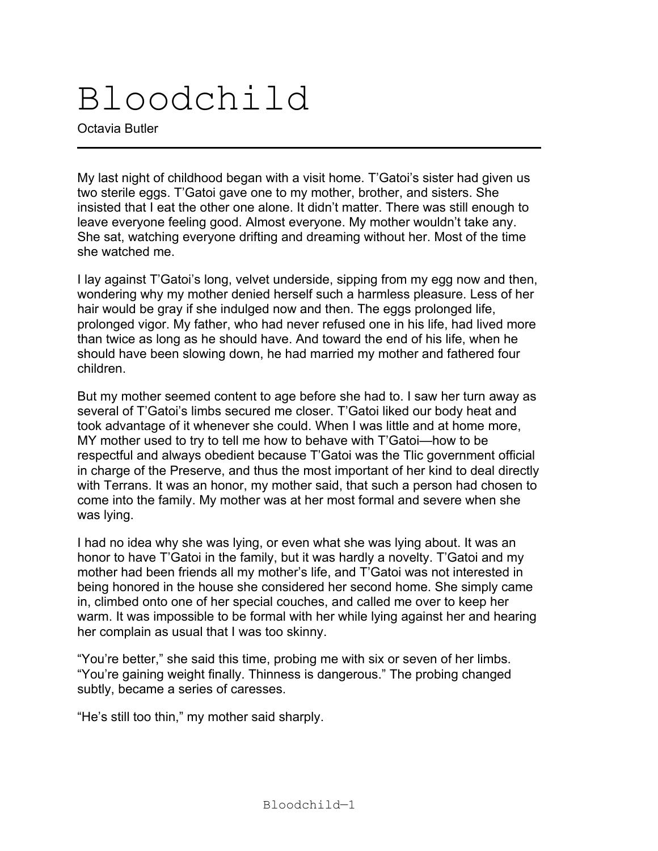## Bloodchild

Octavia Butler

My last night of childhood began with a visit home. T'Gatoi's sister had given us two sterile eggs. T'Gatoi gave one to my mother, brother, and sisters. She insisted that I eat the other one alone. It didn't matter. There was still enough to leave everyone feeling good. Almost everyone. My mother wouldn't take any. She sat, watching everyone drifting and dreaming without her. Most of the time she watched me.

I lay against T'Gatoi's long, velvet underside, sipping from my egg now and then, wondering why my mother denied herself such a harmless pleasure. Less of her hair would be gray if she indulged now and then. The eggs prolonged life, prolonged vigor. My father, who had never refused one in his life, had lived more than twice as long as he should have. And toward the end of his life, when he should have been slowing down, he had married my mother and fathered four children.

But my mother seemed content to age before she had to. I saw her turn away as several of T'Gatoi's limbs secured me closer. T'Gatoi liked our body heat and took advantage of it whenever she could. When I was little and at home more, MY mother used to try to tell me how to behave with T'Gatoi—how to be respectful and always obedient because T'Gatoi was the Tlic government official in charge of the Preserve, and thus the most important of her kind to deal directly with Terrans. It was an honor, my mother said, that such a person had chosen to come into the family. My mother was at her most formal and severe when she was lying.

I had no idea why she was lying, or even what she was lying about. It was an honor to have T'Gatoi in the family, but it was hardly a novelty. T'Gatoi and my mother had been friends all my mother's life, and T'Gatoi was not interested in being honored in the house she considered her second home. She simply came in, climbed onto one of her special couches, and called me over to keep her warm. It was impossible to be formal with her while lying against her and hearing her complain as usual that I was too skinny.

"You're better," she said this time, probing me with six or seven of her limbs. "You're gaining weight finally. Thinness is dangerous." The probing changed subtly, became a series of caresses.

"He's still too thin," my mother said sharply.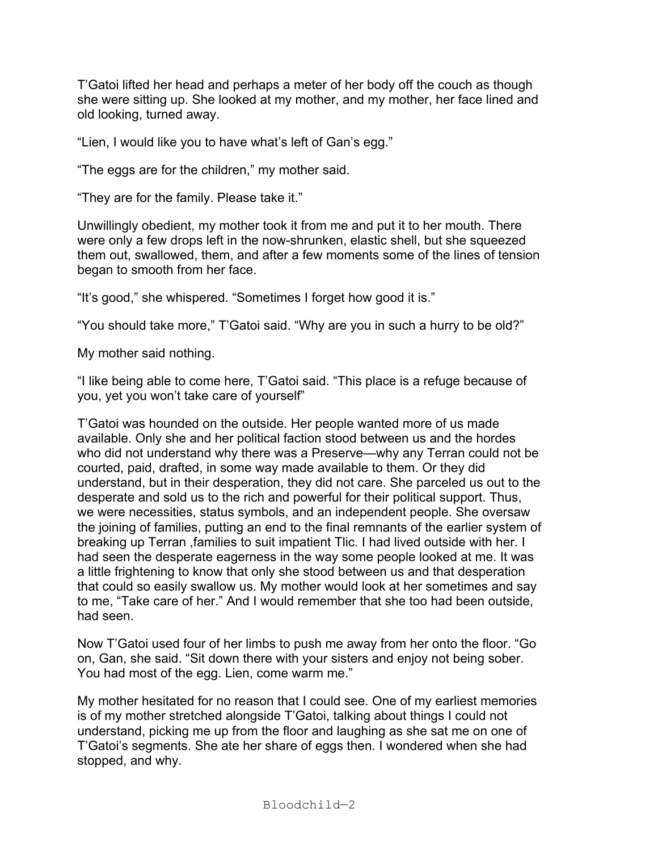T'Gatoi lifted her head and perhaps a meter of her body off the couch as though she were sitting up. She looked at my mother, and my mother, her face lined and old looking, turned away.

"Lien, I would like you to have what's left of Gan's egg."

"The eggs are for the children," my mother said.

"They are for the family. Please take it."

Unwillingly obedient, my mother took it from me and put it to her mouth. There were only a few drops left in the now-shrunken, elastic shell, but she squeezed them out, swallowed, them, and after a few moments some of the lines of tension began to smooth from her face.

"It's good," she whispered. "Sometimes I forget how good it is."

"You should take more," T'Gatoi said. "Why are you in such a hurry to be old?"

My mother said nothing.

"I like being able to come here, T'Gatoi said. "This place is a refuge because of you, yet you won't take care of yourself"

T'Gatoi was hounded on the outside. Her people wanted more of us made available. Only she and her political faction stood between us and the hordes who did not understand why there was a Preserve—why any Terran could not be courted, paid, drafted, in some way made available to them. Or they did understand, but in their desperation, they did not care. She parceled us out to the desperate and sold us to the rich and powerful for their political support. Thus, we were necessities, status symbols, and an independent people. She oversaw the joining of families, putting an end to the final remnants of the earlier system of breaking up Terran ,families to suit impatient Tlic. I had lived outside with her. I had seen the desperate eagerness in the way some people looked at me. It was a little frightening to know that only she stood between us and that desperation that could so easily swallow us. My mother would look at her sometimes and say to me, "Take care of her." And I would remember that she too had been outside, had seen.

Now T'Gatoi used four of her limbs to push me away from her onto the floor. "Go on, Gan, she said. "Sit down there with your sisters and enjoy not being sober. You had most of the egg. Lien, come warm me."

My mother hesitated for no reason that I could see. One of my earliest memories is of my mother stretched alongside T'Gatoi, talking about things I could not understand, picking me up from the floor and laughing as she sat me on one of T'Gatoi's segments. She ate her share of eggs then. I wondered when she had stopped, and why.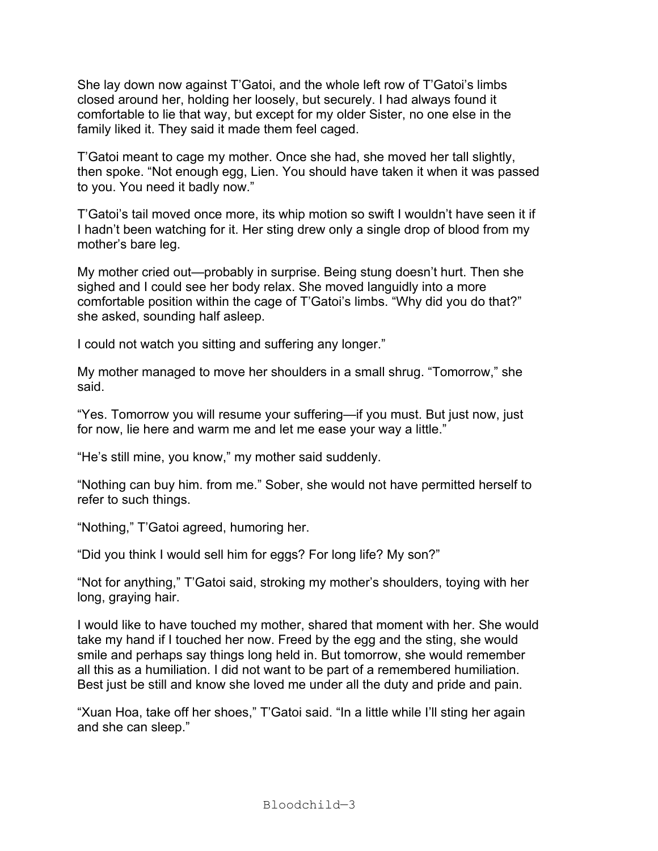She lay down now against T'Gatoi, and the whole left row of T'Gatoi's limbs closed around her, holding her loosely, but securely. I had always found it comfortable to lie that way, but except for my older Sister, no one else in the family liked it. They said it made them feel caged.

T'Gatoi meant to cage my mother. Once she had, she moved her tall slightly, then spoke. "Not enough egg, Lien. You should have taken it when it was passed to you. You need it badly now."

T'Gatoi's tail moved once more, its whip motion so swift I wouldn't have seen it if I hadn't been watching for it. Her sting drew only a single drop of blood from my mother's bare leg.

My mother cried out—probably in surprise. Being stung doesn't hurt. Then she sighed and I could see her body relax. She moved languidly into a more comfortable position within the cage of T'Gatoi's limbs. "Why did you do that?" she asked, sounding half asleep.

I could not watch you sitting and suffering any longer."

My mother managed to move her shoulders in a small shrug. "Tomorrow," she said.

"Yes. Tomorrow you will resume your suffering—if you must. But just now, just for now, lie here and warm me and let me ease your way a little."

"He's still mine, you know," my mother said suddenly.

"Nothing can buy him. from me." Sober, she would not have permitted herself to refer to such things.

"Nothing," T'Gatoi agreed, humoring her.

"Did you think I would sell him for eggs? For long life? My son?"

"Not for anything," T'Gatoi said, stroking my mother's shoulders, toying with her long, graying hair.

I would like to have touched my mother, shared that moment with her. She would take my hand if I touched her now. Freed by the egg and the sting, she would smile and perhaps say things long held in. But tomorrow, she would remember all this as a humiliation. I did not want to be part of a remembered humiliation. Best just be still and know she loved me under all the duty and pride and pain.

"Xuan Hoa, take off her shoes," T'Gatoi said. "In a little while I'll sting her again and she can sleep."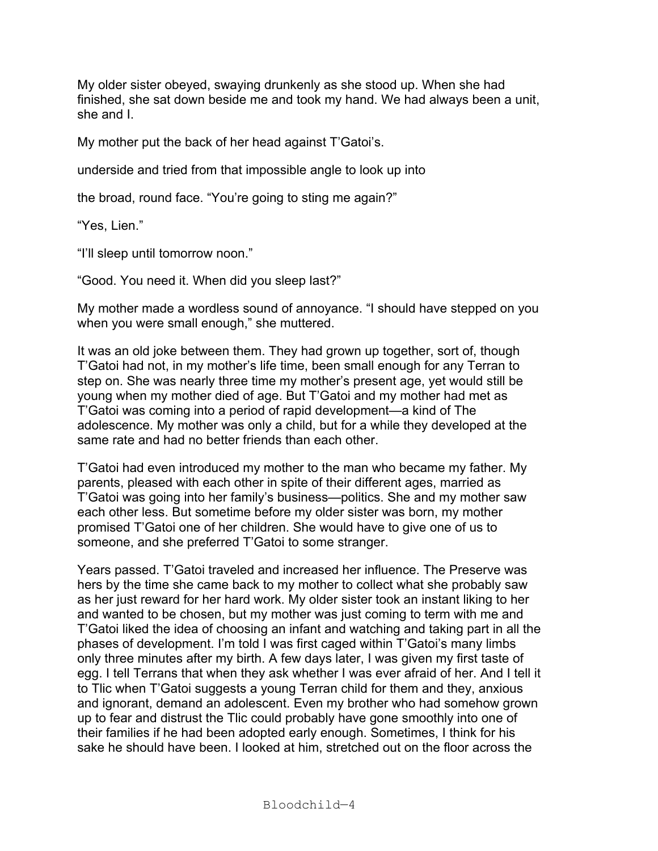My older sister obeyed, swaying drunkenly as she stood up. When she had finished, she sat down beside me and took my hand. We had always been a unit, she and I.

My mother put the back of her head against T'Gatoi's.

underside and tried from that impossible angle to look up into

the broad, round face. "You're going to sting me again?"

"Yes, Lien."

"I'll sleep until tomorrow noon."

"Good. You need it. When did you sleep last?"

My mother made a wordless sound of annoyance. "I should have stepped on you when you were small enough," she muttered.

It was an old joke between them. They had grown up together, sort of, though T'Gatoi had not, in my mother's life time, been small enough for any Terran to step on. She was nearly three time my mother's present age, yet would still be young when my mother died of age. But T'Gatoi and my mother had met as T'Gatoi was coming into a period of rapid development—a kind of The adolescence. My mother was only a child, but for a while they developed at the same rate and had no better friends than each other.

T'Gatoi had even introduced my mother to the man who became my father. My parents, pleased with each other in spite of their different ages, married as T'Gatoi was going into her family's business—politics. She and my mother saw each other less. But sometime before my older sister was born, my mother promised T'Gatoi one of her children. She would have to give one of us to someone, and she preferred T'Gatoi to some stranger.

Years passed. T'Gatoi traveled and increased her influence. The Preserve was hers by the time she came back to my mother to collect what she probably saw as her just reward for her hard work. My older sister took an instant liking to her and wanted to be chosen, but my mother was just coming to term with me and T'Gatoi liked the idea of choosing an infant and watching and taking part in all the phases of development. I'm told I was first caged within T'Gatoi's many limbs only three minutes after my birth. A few days later, I was given my first taste of egg. I tell Terrans that when they ask whether I was ever afraid of her. And I tell it to Tlic when T'Gatoi suggests a young Terran child for them and they, anxious and ignorant, demand an adolescent. Even my brother who had somehow grown up to fear and distrust the Tlic could probably have gone smoothly into one of their families if he had been adopted early enough. Sometimes, I think for his sake he should have been. I looked at him, stretched out on the floor across the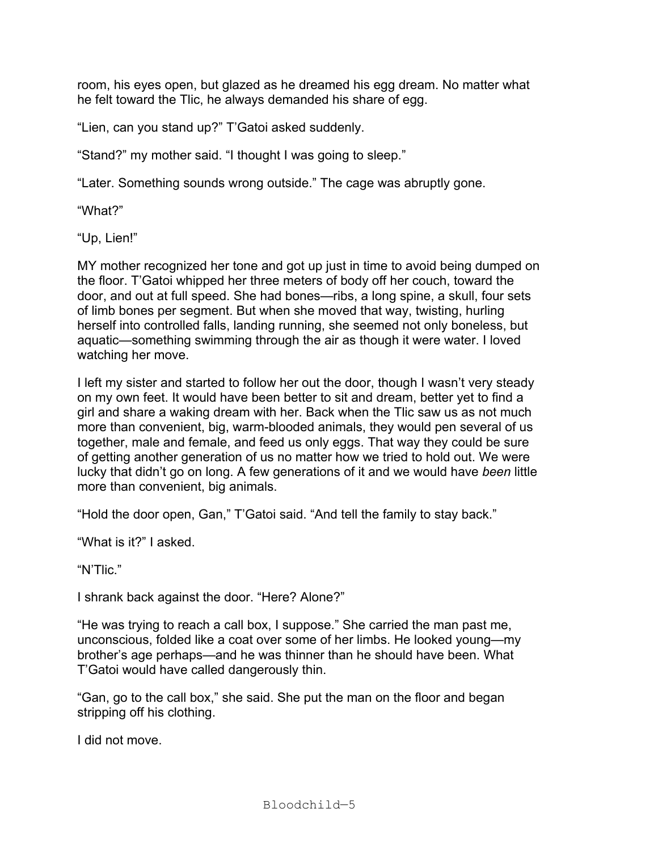room, his eyes open, but glazed as he dreamed his egg dream. No matter what he felt toward the Tlic, he always demanded his share of egg.

"Lien, can you stand up?" T'Gatoi asked suddenly.

"Stand?" my mother said. "I thought I was going to sleep."

"Later. Something sounds wrong outside." The cage was abruptly gone.

"What?"

"Up, Lien!"

MY mother recognized her tone and got up just in time to avoid being dumped on the floor. T'Gatoi whipped her three meters of body off her couch, toward the door, and out at full speed. She had bones—ribs, a long spine, a skull, four sets of limb bones per segment. But when she moved that way, twisting, hurling herself into controlled falls, landing running, she seemed not only boneless, but aquatic—something swimming through the air as though it were water. I loved watching her move.

I left my sister and started to follow her out the door, though I wasn't very steady on my own feet. It would have been better to sit and dream, better yet to find a girl and share a waking dream with her. Back when the Tlic saw us as not much more than convenient, big, warm-blooded animals, they would pen several of us together, male and female, and feed us only eggs. That way they could be sure of getting another generation of us no matter how we tried to hold out. We were lucky that didn't go on long. A few generations of it and we would have *been* little more than convenient, big animals.

"Hold the door open, Gan," T'Gatoi said. "And tell the family to stay back."

"What is it?" I asked.

"N'Tlic."

I shrank back against the door. "Here? Alone?"

"He was trying to reach a call box, I suppose." She carried the man past me, unconscious, folded like a coat over some of her limbs. He looked young—my brother's age perhaps—and he was thinner than he should have been. What T'Gatoi would have called dangerously thin.

"Gan, go to the call box," she said. She put the man on the floor and began stripping off his clothing.

I did not move.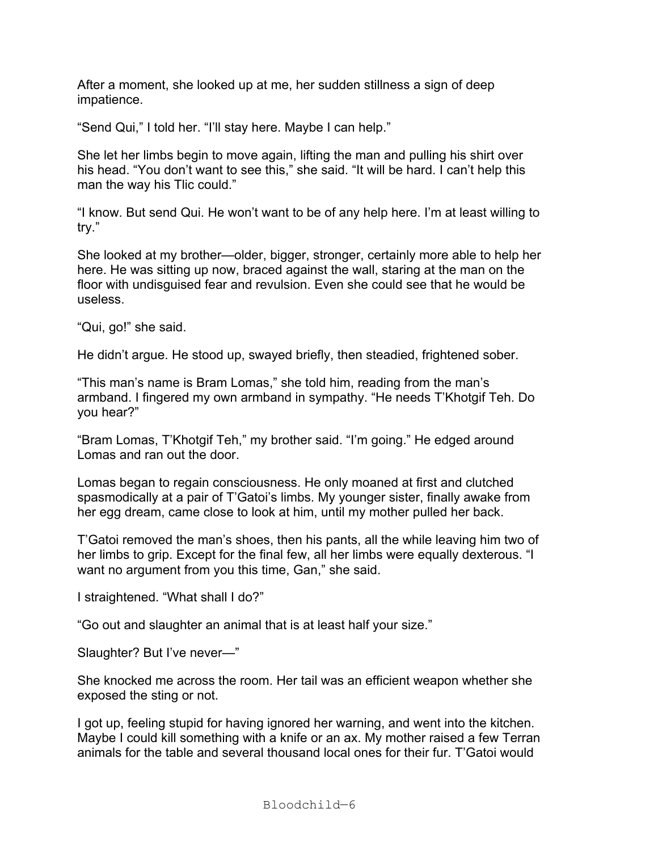After a moment, she looked up at me, her sudden stillness a sign of deep impatience.

"Send Qui," I told her. "I'll stay here. Maybe I can help."

She let her limbs begin to move again, lifting the man and pulling his shirt over his head. "You don't want to see this," she said. "It will be hard. I can't help this man the way his Tlic could."

"I know. But send Qui. He won't want to be of any help here. I'm at least willing to try."

She looked at my brother—older, bigger, stronger, certainly more able to help her here. He was sitting up now, braced against the wall, staring at the man on the floor with undisquised fear and revulsion. Even she could see that he would be useless.

"Qui, go!" she said.

He didn't argue. He stood up, swayed briefly, then steadied, frightened sober.

"This man's name is Bram Lomas," she told him, reading from the man's armband. I fingered my own armband in sympathy. "He needs T'Khotgif Teh. Do you hear?"

"Bram Lomas, T'Khotgif Teh," my brother said. "I'm going." He edged around Lomas and ran out the door.

Lomas began to regain consciousness. He only moaned at first and clutched spasmodically at a pair of T'Gatoi's limbs. My younger sister, finally awake from her egg dream, came close to look at him, until my mother pulled her back.

T'Gatoi removed the man's shoes, then his pants, all the while leaving him two of her limbs to grip. Except for the final few, all her limbs were equally dexterous. "I want no argument from you this time, Gan," she said.

I straightened. "What shall I do?"

"Go out and slaughter an animal that is at least half your size."

Slaughter? But I've never—"

She knocked me across the room. Her tail was an efficient weapon whether she exposed the sting or not.

I got up, feeling stupid for having ignored her warning, and went into the kitchen. Maybe I could kill something with a knife or an ax. My mother raised a few Terran animals for the table and several thousand local ones for their fur. T'Gatoi would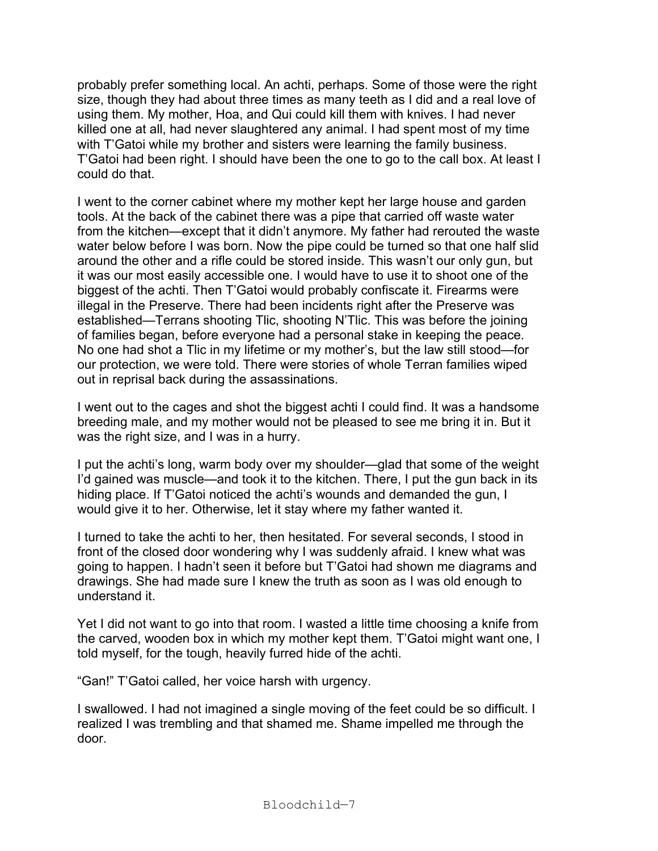probably prefer something local. An achti, perhaps. Some of those were the right size, though they had about three times as many teeth as I did and a real love of using them. My mother, Hoa, and Qui could kill them with knives. I had never killed one at all, had never slaughtered any animal. I had spent most of my time with T'Gatoi while my brother and sisters were learning the family business. T'Gatoi had been right. I should have been the one to go to the call box. At least I could do that.

I went to the corner cabinet where my mother kept her large house and garden tools. At the back of the cabinet there was a pipe that carried off waste water from the kitchen—except that it didn't anymore. My father had rerouted the waste water below before I was born. Now the pipe could be turned so that one half slid around the other and a rifle could be stored inside. This wasn't our only gun, but it was our most easily accessible one. I would have to use it to shoot one of the biggest of the achti. Then T'Gatoi would probably confiscate it. Firearms were illegal in the Preserve. There had been incidents right after the Preserve was established—Terrans shooting Tlic, shooting N'Tlic. This was before the joining of families began, before everyone had a personal stake in keeping the peace. No one had shot a Tlic in my lifetime or my mother's, but the law still stood—for our protection, we were told. There were stories of whole Terran families wiped out in reprisal back during the assassinations.

I went out to the cages and shot the biggest achti I could find. It was a handsome breeding male, and my mother would not be pleased to see me bring it in. But it was the right size, and I was in a hurry.

I put the achti's long, warm body over my shoulder—glad that some of the weight I'd gained was muscle—and took it to the kitchen. There, I put the gun back in its hiding place. If T'Gatoi noticed the achti's wounds and demanded the gun, I would give it to her. Otherwise, let it stay where my father wanted it.

I turned to take the achti to her, then hesitated. For several seconds, I stood in front of the closed door wondering why I was suddenly afraid. I knew what was going to happen. I hadn't seen it before but T'Gatoi had shown me diagrams and drawings. She had made sure I knew the truth as soon as I was old enough to understand it.

Yet I did not want to go into that room. I wasted a little time choosing a knife from the carved, wooden box in which my mother kept them. T'Gatoi might want one, I told myself, for the tough, heavily furred hide of the achti.

"Gan!" T'Gatoi called, her voice harsh with urgency.

I swallowed. I had not imagined a single moving of the feet could be so difficult. I realized I was trembling and that shamed me. Shame impelled me through the door.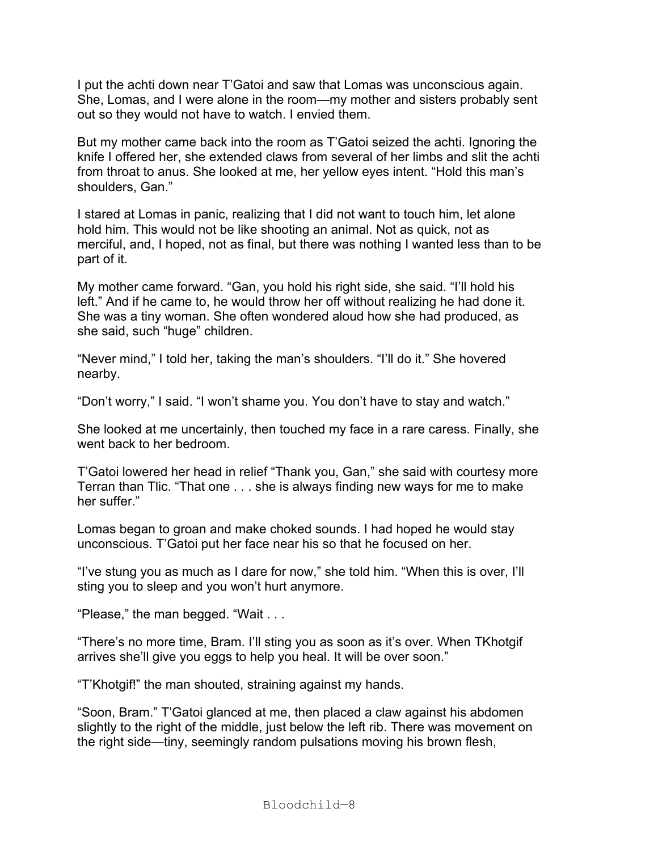I put the achti down near T'Gatoi and saw that Lomas was unconscious again. She, Lomas, and I were alone in the room—my mother and sisters probably sent out so they would not have to watch. I envied them.

But my mother came back into the room as T'Gatoi seized the achti. Ignoring the knife I offered her, she extended claws from several of her limbs and slit the achti from throat to anus. She looked at me, her yellow eyes intent. "Hold this man's shoulders, Gan."

I stared at Lomas in panic, realizing that I did not want to touch him, let alone hold him. This would not be like shooting an animal. Not as quick, not as merciful, and, I hoped, not as final, but there was nothing I wanted less than to be part of it.

My mother came forward. "Gan, you hold his right side, she said. "I'll hold his left." And if he came to, he would throw her off without realizing he had done it. She was a tiny woman. She often wondered aloud how she had produced, as she said, such "huge" children.

"Never mind," I told her, taking the man's shoulders. "I'll do it." She hovered nearby.

"Don't worry," I said. "I won't shame you. You don't have to stay and watch."

She looked at me uncertainly, then touched my face in a rare caress. Finally, she went back to her bedroom.

T'Gatoi lowered her head in relief "Thank you, Gan," she said with courtesy more Terran than Tlic. "That one . . . she is always finding new ways for me to make her suffer."

Lomas began to groan and make choked sounds. I had hoped he would stay unconscious. T'Gatoi put her face near his so that he focused on her.

"I've stung you as much as I dare for now," she told him. "When this is over, I'll sting you to sleep and you won't hurt anymore.

"Please," the man begged. "Wait . . .

"There's no more time, Bram. I'll sting you as soon as it's over. When TKhotgif arrives she'll give you eggs to help you heal. It will be over soon."

"T'Khotgif!" the man shouted, straining against my hands.

"Soon, Bram." T'Gatoi glanced at me, then placed a claw against his abdomen slightly to the right of the middle, just below the left rib. There was movement on the right side—tiny, seemingly random pulsations moving his brown flesh,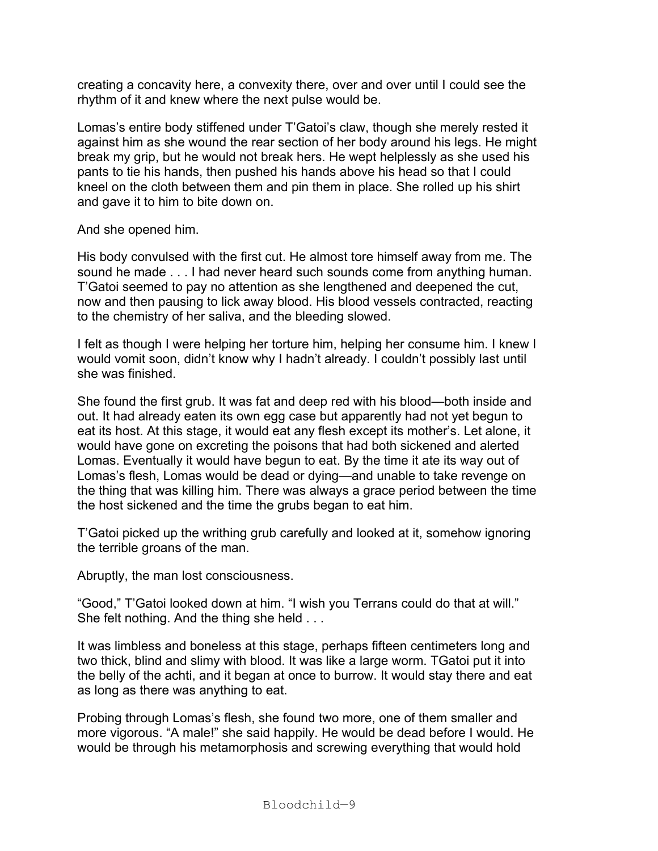creating a concavity here, a convexity there, over and over until I could see the rhythm of it and knew where the next pulse would be.

Lomas's entire body stiffened under T'Gatoi's claw, though she merely rested it against him as she wound the rear section of her body around his legs. He might break my grip, but he would not break hers. He wept helplessly as she used his pants to tie his hands, then pushed his hands above his head so that I could kneel on the cloth between them and pin them in place. She rolled up his shirt and gave it to him to bite down on.

And she opened him.

His body convulsed with the first cut. He almost tore himself away from me. The sound he made . . . I had never heard such sounds come from anything human. T'Gatoi seemed to pay no attention as she lengthened and deepened the cut, now and then pausing to lick away blood. His blood vessels contracted, reacting to the chemistry of her saliva, and the bleeding slowed.

I felt as though I were helping her torture him, helping her consume him. I knew I would vomit soon, didn't know why I hadn't already. I couldn't possibly last until she was finished.

She found the first grub. It was fat and deep red with his blood—both inside and out. It had already eaten its own egg case but apparently had not yet begun to eat its host. At this stage, it would eat any flesh except its mother's. Let alone, it would have gone on excreting the poisons that had both sickened and alerted Lomas. Eventually it would have begun to eat. By the time it ate its way out of Lomas's flesh, Lomas would be dead or dying—and unable to take revenge on the thing that was killing him. There was always a grace period between the time the host sickened and the time the grubs began to eat him.

T'Gatoi picked up the writhing grub carefully and looked at it, somehow ignoring the terrible groans of the man.

Abruptly, the man lost consciousness.

"Good," T'Gatoi looked down at him. "I wish you Terrans could do that at will." She felt nothing. And the thing she held . . .

It was limbless and boneless at this stage, perhaps fifteen centimeters long and two thick, blind and slimy with blood. It was like a large worm. TGatoi put it into the belly of the achti, and it began at once to burrow. It would stay there and eat as long as there was anything to eat.

Probing through Lomas's flesh, she found two more, one of them smaller and more vigorous. "A male!" she said happily. He would be dead before I would. He would be through his metamorphosis and screwing everything that would hold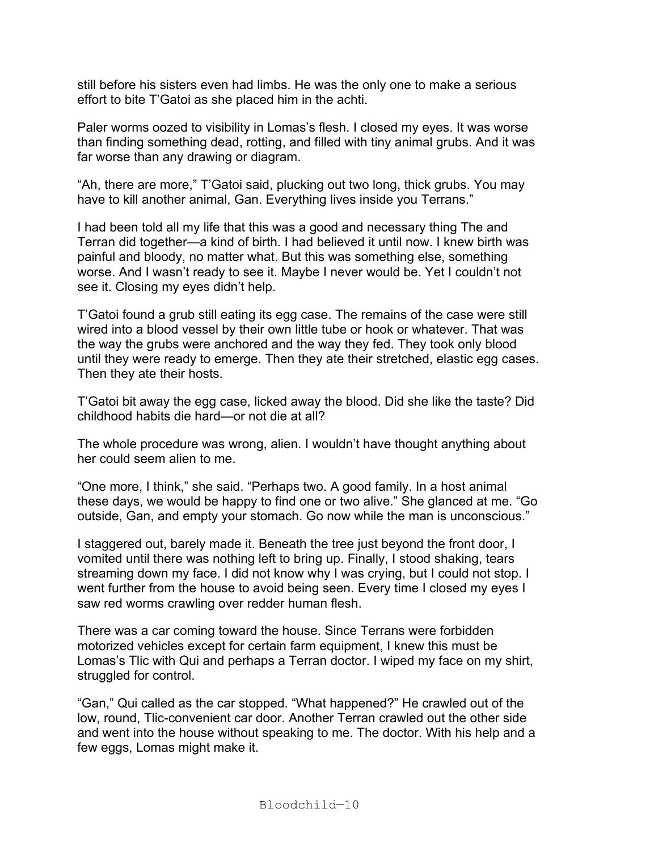still before his sisters even had limbs. He was the only one to make a serious effort to bite T'Gatoi as she placed him in the achti.

Paler worms oozed to visibility in Lomas's flesh. I closed my eyes. It was worse than finding something dead, rotting, and filled with tiny animal grubs. And it was far worse than any drawing or diagram.

"Ah, there are more," T'Gatoi said, plucking out two long, thick grubs. You may have to kill another animal, Gan. Everything lives inside you Terrans."

I had been told all my life that this was a good and necessary thing The and Terran did together—a kind of birth. I had believed it until now. I knew birth was painful and bloody, no matter what. But this was something else, something worse. And I wasn't ready to see it. Maybe I never would be. Yet I couldn't not see it. Closing my eyes didn't help.

T'Gatoi found a grub still eating its egg case. The remains of the case were still wired into a blood vessel by their own little tube or hook or whatever. That was the way the grubs were anchored and the way they fed. They took only blood until they were ready to emerge. Then they ate their stretched, elastic egg cases. Then they ate their hosts.

T'Gatoi bit away the egg case, licked away the blood. Did she like the taste? Did childhood habits die hard—or not die at all?

The whole procedure was wrong, alien. I wouldn't have thought anything about her could seem alien to me.

"One more, I think," she said. "Perhaps two. A good family. In a host animal these days, we would be happy to find one or two alive." She glanced at me. "Go outside, Gan, and empty your stomach. Go now while the man is unconscious."

I staggered out, barely made it. Beneath the tree just beyond the front door, I vomited until there was nothing left to bring up. Finally, I stood shaking, tears streaming down my face. I did not know why I was crying, but I could not stop. I went further from the house to avoid being seen. Every time I closed my eyes I saw red worms crawling over redder human flesh.

There was a car coming toward the house. Since Terrans were forbidden motorized vehicles except for certain farm equipment, I knew this must be Lomas's Tlic with Qui and perhaps a Terran doctor. I wiped my face on my shirt, struggled for control.

"Gan," Qui called as the car stopped. "What happened?" He crawled out of the low, round, Tlic-convenient car door. Another Terran crawled out the other side and went into the house without speaking to me. The doctor. With his help and a few eggs, Lomas might make it.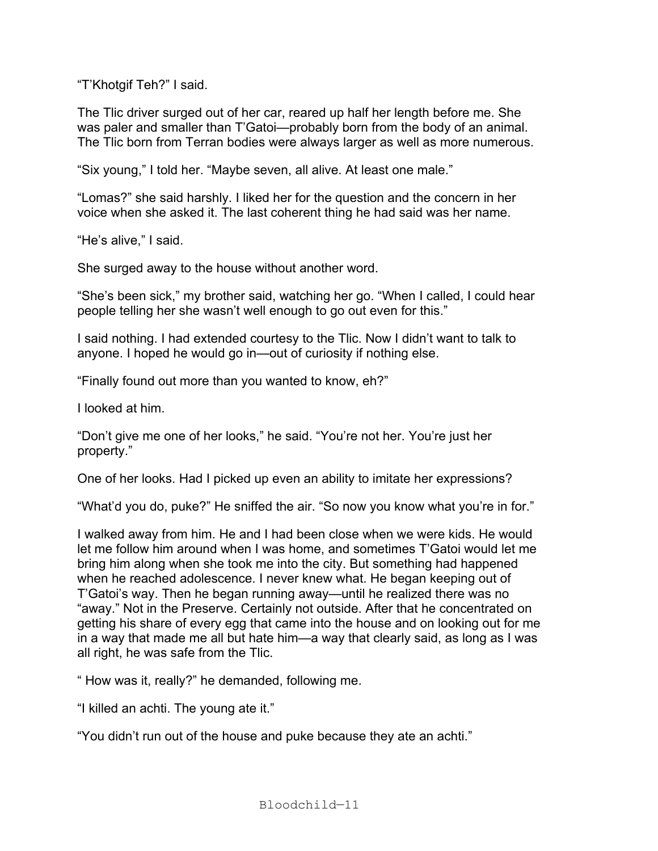"T'Khotgif Teh?" I said.

The Tlic driver surged out of her car, reared up half her length before me. She was paler and smaller than T'Gatoi—probably born from the body of an animal. The Tlic born from Terran bodies were always larger as well as more numerous.

"Six young," I told her. "Maybe seven, all alive. At least one male."

"Lomas?" she said harshly. I liked her for the question and the concern in her voice when she asked it. The last coherent thing he had said was her name.

"He's alive," I said.

She surged away to the house without another word.

"She's been sick," my brother said, watching her go. "When I called, I could hear people telling her she wasn't well enough to go out even for this."

I said nothing. I had extended courtesy to the Tlic. Now I didn't want to talk to anyone. I hoped he would go in—out of curiosity if nothing else.

"Finally found out more than you wanted to know, eh?"

I looked at him.

"Don't give me one of her looks," he said. "You're not her. You're just her property."

One of her looks. Had I picked up even an ability to imitate her expressions?

"What'd you do, puke?" He sniffed the air. "So now you know what you're in for."

I walked away from him. He and I had been close when we were kids. He would let me follow him around when I was home, and sometimes T'Gatoi would let me bring him along when she took me into the city. But something had happened when he reached adolescence. I never knew what. He began keeping out of T'Gatoi's way. Then he began running away—until he realized there was no "away." Not in the Preserve. Certainly not outside. After that he concentrated on getting his share of every egg that came into the house and on looking out for me in a way that made me all but hate him—a way that clearly said, as long as I was all right, he was safe from the Tlic.

" How was it, really?" he demanded, following me.

"I killed an achti. The young ate it."

"You didn't run out of the house and puke because they ate an achti."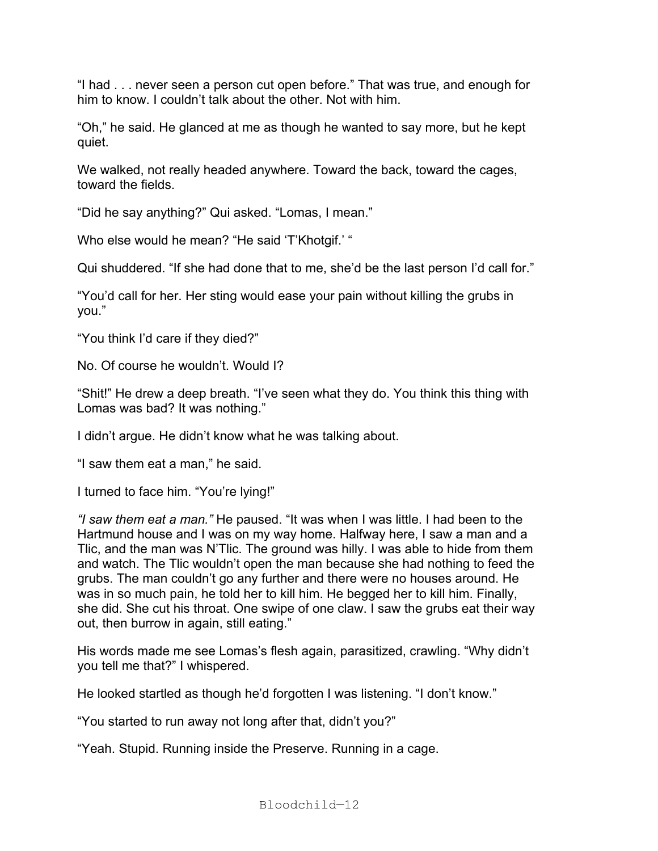"I had . . . never seen a person cut open before." That was true, and enough for him to know. I couldn't talk about the other. Not with him.

"Oh," he said. He glanced at me as though he wanted to say more, but he kept quiet.

We walked, not really headed anywhere. Toward the back, toward the cages. toward the fields.

"Did he say anything?" Qui asked. "Lomas, I mean."

Who else would he mean? "He said 'T'Khotgif.' "

Qui shuddered. "If she had done that to me, she'd be the last person I'd call for."

"You'd call for her. Her sting would ease your pain without killing the grubs in you."

"You think I'd care if they died?"

No. Of course he wouldn't. Would I?

"Shit!" He drew a deep breath. "I've seen what they do. You think this thing with Lomas was bad? It was nothing."

I didn't argue. He didn't know what he was talking about.

"I saw them eat a man," he said.

I turned to face him. "You're lying!"

*"I saw them eat a man."* He paused. "It was when I was little. I had been to the Hartmund house and I was on my way home. Halfway here, I saw a man and a Tlic, and the man was N'Tlic. The ground was hilly. I was able to hide from them and watch. The Tlic wouldn't open the man because she had nothing to feed the grubs. The man couldn't go any further and there were no houses around. He was in so much pain, he told her to kill him. He begged her to kill him. Finally, she did. She cut his throat. One swipe of one claw. I saw the grubs eat their way out, then burrow in again, still eating."

His words made me see Lomas's flesh again, parasitized, crawling. "Why didn't you tell me that?" I whispered.

He looked startled as though he'd forgotten I was listening. "I don't know."

"You started to run away not long after that, didn't you?"

"Yeah. Stupid. Running inside the Preserve. Running in a cage.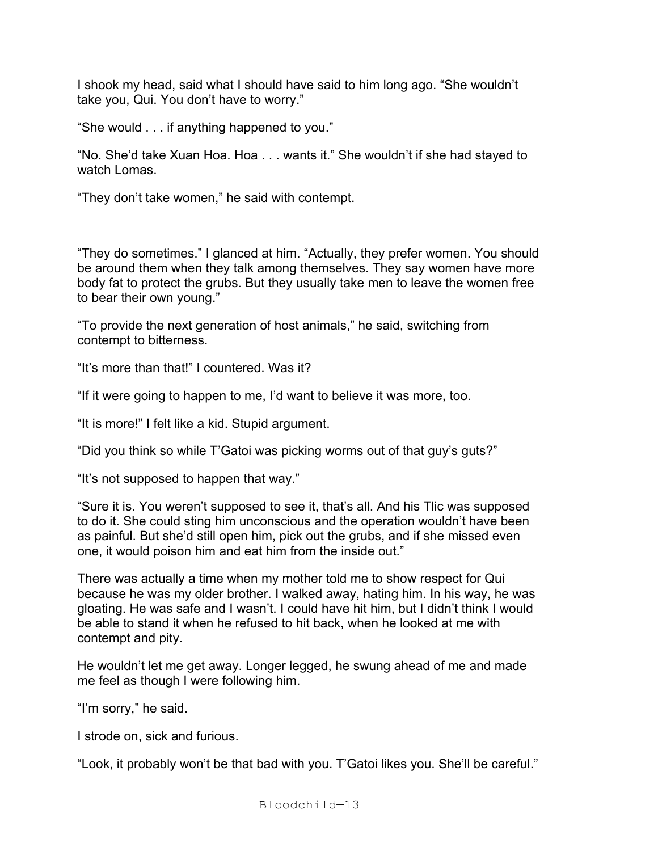I shook my head, said what I should have said to him long ago. "She wouldn't take you, Qui. You don't have to worry."

"She would . . . if anything happened to you."

"No. She'd take Xuan Hoa. Hoa . . . wants it." She wouldn't if she had stayed to watch Lomas.

"They don't take women," he said with contempt.

"They do sometimes." I glanced at him. "Actually, they prefer women. You should be around them when they talk among themselves. They say women have more body fat to protect the grubs. But they usually take men to leave the women free to bear their own young."

"To provide the next generation of host animals," he said, switching from contempt to bitterness.

"It's more than that!" I countered. Was it?

"If it were going to happen to me, I'd want to believe it was more, too.

"It is more!" I felt like a kid. Stupid argument.

"Did you think so while T'Gatoi was picking worms out of that guy's guts?"

"It's not supposed to happen that way."

"Sure it is. You weren't supposed to see it, that's all. And his Tlic was supposed to do it. She could sting him unconscious and the operation wouldn't have been as painful. But she'd still open him, pick out the grubs, and if she missed even one, it would poison him and eat him from the inside out."

There was actually a time when my mother told me to show respect for Qui because he was my older brother. I walked away, hating him. In his way, he was gloating. He was safe and I wasn't. I could have hit him, but I didn't think I would be able to stand it when he refused to hit back, when he looked at me with contempt and pity.

He wouldn't let me get away. Longer legged, he swung ahead of me and made me feel as though I were following him.

"I'm sorry," he said.

I strode on, sick and furious.

"Look, it probably won't be that bad with you. T'Gatoi likes you. She'll be careful."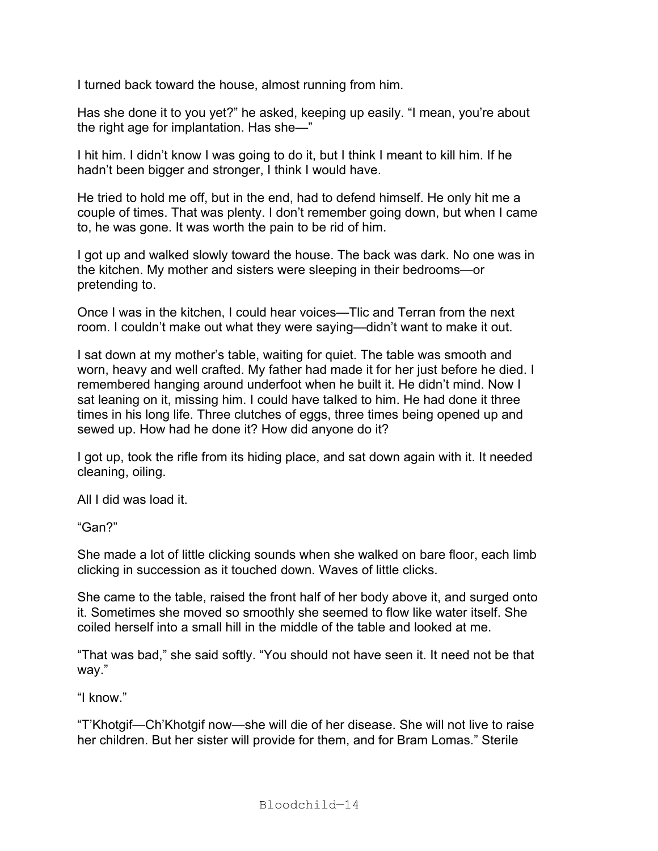I turned back toward the house, almost running from him.

Has she done it to you yet?" he asked, keeping up easily. "I mean, you're about the right age for implantation. Has she—"

I hit him. I didn't know I was going to do it, but I think I meant to kill him. If he hadn't been bigger and stronger, I think I would have.

He tried to hold me off, but in the end, had to defend himself. He only hit me a couple of times. That was plenty. I don't remember going down, but when I came to, he was gone. It was worth the pain to be rid of him.

I got up and walked slowly toward the house. The back was dark. No one was in the kitchen. My mother and sisters were sleeping in their bedrooms—or pretending to.

Once I was in the kitchen, I could hear voices—Tlic and Terran from the next room. I couldn't make out what they were saying—didn't want to make it out.

I sat down at my mother's table, waiting for quiet. The table was smooth and worn, heavy and well crafted. My father had made it for her just before he died. I remembered hanging around underfoot when he built it. He didn't mind. Now I sat leaning on it, missing him. I could have talked to him. He had done it three times in his long life. Three clutches of eggs, three times being opened up and sewed up. How had he done it? How did anyone do it?

I got up, took the rifle from its hiding place, and sat down again with it. It needed cleaning, oiling.

All I did was load it.

"Gan?"

She made a lot of little clicking sounds when she walked on bare floor, each limb clicking in succession as it touched down. Waves of little clicks.

She came to the table, raised the front half of her body above it, and surged onto it. Sometimes she moved so smoothly she seemed to flow like water itself. She coiled herself into a small hill in the middle of the table and looked at me.

"That was bad," she said softly. "You should not have seen it. It need not be that way."

"I know."

"T'Khotgif—Ch'Khotgif now—she will die of her disease. She will not live to raise her children. But her sister will provide for them, and for Bram Lomas." Sterile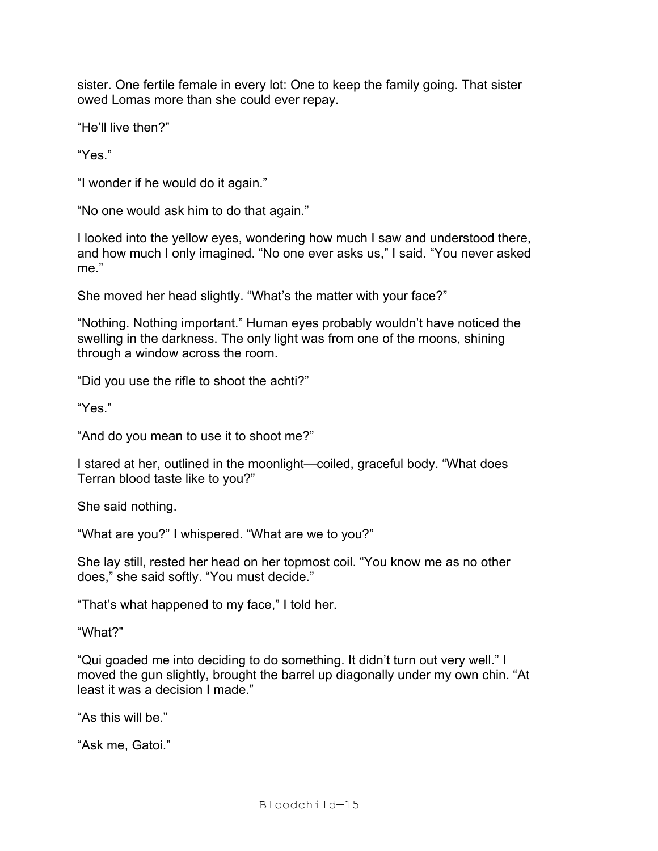sister. One fertile female in every lot: One to keep the family going. That sister owed Lomas more than she could ever repay.

"He'll live then?"

"Yes."

"I wonder if he would do it again."

"No one would ask him to do that again."

I looked into the yellow eyes, wondering how much I saw and understood there, and how much I only imagined. "No one ever asks us," I said. "You never asked me."

She moved her head slightly. "What's the matter with your face?"

"Nothing. Nothing important." Human eyes probably wouldn't have noticed the swelling in the darkness. The only light was from one of the moons, shining through a window across the room.

"Did you use the rifle to shoot the achti?"

"Yes."

"And do you mean to use it to shoot me?"

I stared at her, outlined in the moonlight—coiled, graceful body. "What does Terran blood taste like to you?"

She said nothing.

"What are you?" I whispered. "What are we to you?"

She lay still, rested her head on her topmost coil. "You know me as no other does," she said softly. "You must decide."

"That's what happened to my face," I told her.

"What?"

"Qui goaded me into deciding to do something. It didn't turn out very well." I moved the gun slightly, brought the barrel up diagonally under my own chin. "At least it was a decision I made."

"As this will be."

"Ask me, Gatoi."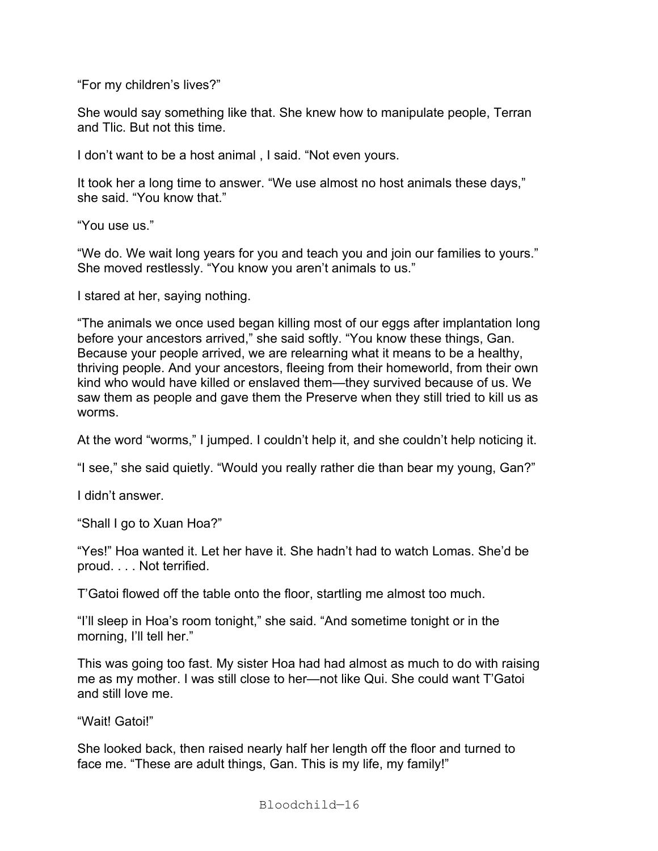"For my children's lives?"

She would say something like that. She knew how to manipulate people, Terran and Tlic. But not this time.

I don't want to be a host animal , I said. "Not even yours.

It took her a long time to answer. "We use almost no host animals these days," she said. "You know that."

"You use us."

"We do. We wait long years for you and teach you and join our families to yours." She moved restlessly. "You know you aren't animals to us."

I stared at her, saying nothing.

"The animals we once used began killing most of our eggs after implantation long before your ancestors arrived," she said softly. "You know these things, Gan. Because your people arrived, we are relearning what it means to be a healthy, thriving people. And your ancestors, fleeing from their homeworld, from their own kind who would have killed or enslaved them—they survived because of us. We saw them as people and gave them the Preserve when they still tried to kill us as worms.

At the word "worms," I jumped. I couldn't help it, and she couldn't help noticing it.

"I see," she said quietly. "Would you really rather die than bear my young, Gan?"

I didn't answer.

"Shall I go to Xuan Hoa?"

"Yes!" Hoa wanted it. Let her have it. She hadn't had to watch Lomas. She'd be proud. . . . Not terrified.

T'Gatoi flowed off the table onto the floor, startling me almost too much.

"I'll sleep in Hoa's room tonight," she said. "And sometime tonight or in the morning, I'll tell her."

This was going too fast. My sister Hoa had had almost as much to do with raising me as my mother. I was still close to her—not like Qui. She could want T'Gatoi and still love me.

"Wait! Gatoi!"

She looked back, then raised nearly half her length off the floor and turned to face me. "These are adult things, Gan. This is my life, my family!"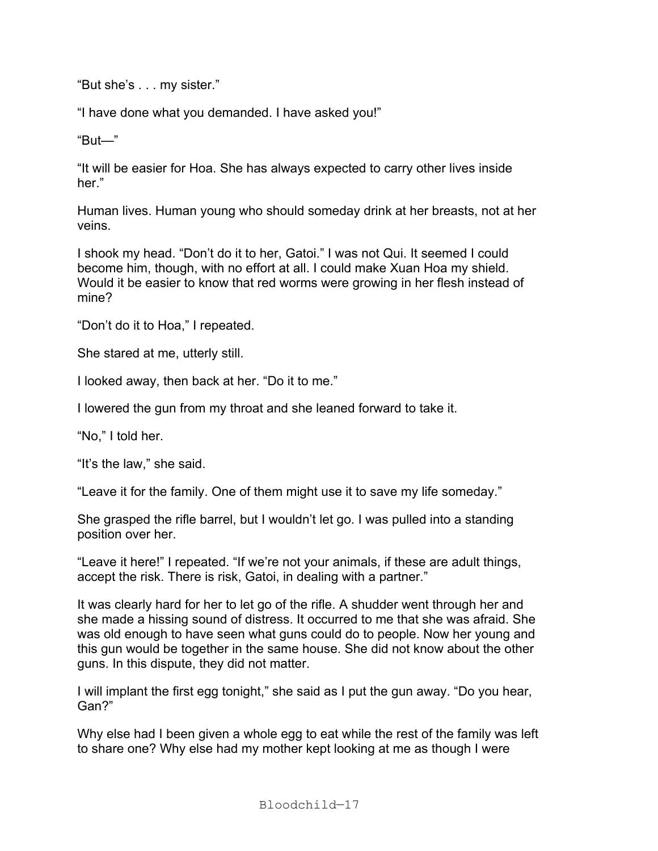"But she's . . . my sister."

"I have done what you demanded. I have asked you!"

"But—"

"It will be easier for Hoa. She has always expected to carry other lives inside her."

Human lives. Human young who should someday drink at her breasts, not at her veins.

I shook my head. "Don't do it to her, Gatoi." I was not Qui. It seemed I could become him, though, with no effort at all. I could make Xuan Hoa my shield. Would it be easier to know that red worms were growing in her flesh instead of mine?

"Don't do it to Hoa," I repeated.

She stared at me, utterly still.

I looked away, then back at her. "Do it to me."

I lowered the gun from my throat and she leaned forward to take it.

"No," I told her.

"It's the law," she said.

"Leave it for the family. One of them might use it to save my life someday."

She grasped the rifle barrel, but I wouldn't let go. I was pulled into a standing position over her.

"Leave it here!" I repeated. "If we're not your animals, if these are adult things, accept the risk. There is risk, Gatoi, in dealing with a partner."

It was clearly hard for her to let go of the rifle. A shudder went through her and she made a hissing sound of distress. It occurred to me that she was afraid. She was old enough to have seen what guns could do to people. Now her young and this gun would be together in the same house. She did not know about the other guns. In this dispute, they did not matter.

I will implant the first egg tonight," she said as I put the gun away. "Do you hear, Gan?"

Why else had I been given a whole egg to eat while the rest of the family was left to share one? Why else had my mother kept looking at me as though I were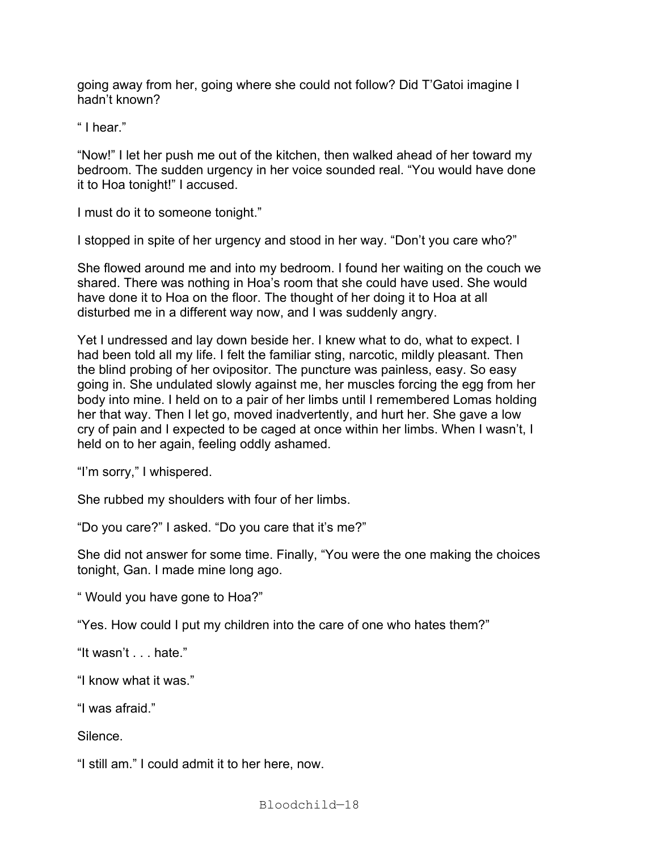going away from her, going where she could not follow? Did T'Gatoi imagine I hadn't known?

" I hear."

"Now!" I let her push me out of the kitchen, then walked ahead of her toward my bedroom. The sudden urgency in her voice sounded real. "You would have done it to Hoa tonight!" I accused.

I must do it to someone tonight."

I stopped in spite of her urgency and stood in her way. "Don't you care who?"

She flowed around me and into my bedroom. I found her waiting on the couch we shared. There was nothing in Hoa's room that she could have used. She would have done it to Hoa on the floor. The thought of her doing it to Hoa at all disturbed me in a different way now, and I was suddenly angry.

Yet I undressed and lay down beside her. I knew what to do, what to expect. I had been told all my life. I felt the familiar sting, narcotic, mildly pleasant. Then the blind probing of her ovipositor. The puncture was painless, easy. So easy going in. She undulated slowly against me, her muscles forcing the egg from her body into mine. I held on to a pair of her limbs until I remembered Lomas holding her that way. Then I let go, moved inadvertently, and hurt her. She gave a low cry of pain and I expected to be caged at once within her limbs. When I wasn't, I held on to her again, feeling oddly ashamed.

"I'm sorry," I whispered.

She rubbed my shoulders with four of her limbs.

"Do you care?" I asked. "Do you care that it's me?"

She did not answer for some time. Finally, "You were the one making the choices tonight, Gan. I made mine long ago.

" Would you have gone to Hoa?"

"Yes. How could I put my children into the care of one who hates them?"

"It wasn't . . . hate."

"I know what it was."

"I was afraid."

Silence.

"I still am." I could admit it to her here, now.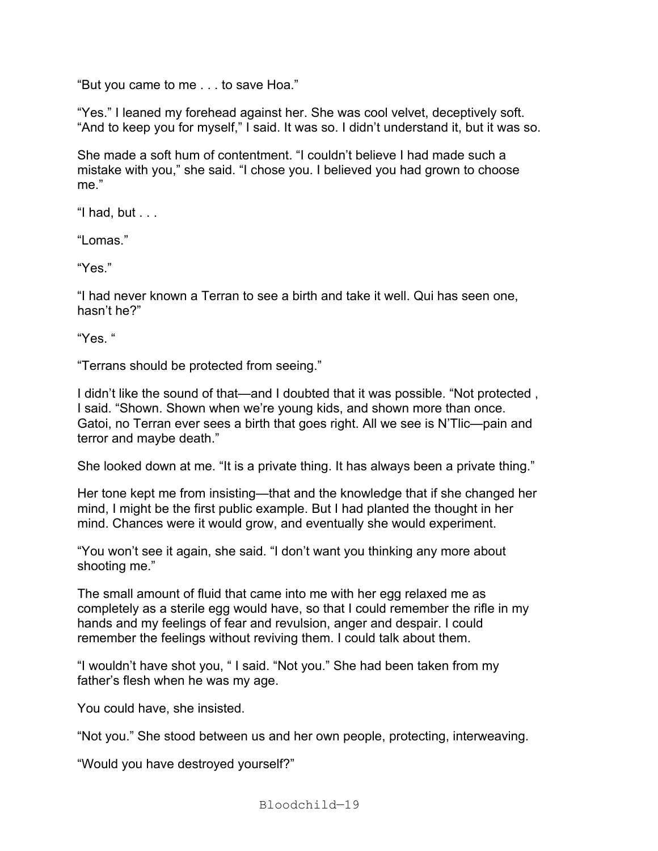"But you came to me . . . to save Hoa."

"Yes." I leaned my forehead against her. She was cool velvet, deceptively soft. "And to keep you for myself," I said. It was so. I didn't understand it, but it was so.

She made a soft hum of contentment. "I couldn't believe I had made such a mistake with you," she said. "I chose you. I believed you had grown to choose me."

"I had, but  $\ldots$ 

"Lomas."

"Yes."

"I had never known a Terran to see a birth and take it well. Qui has seen one, hasn't he?"

"Yes. "

"Terrans should be protected from seeing."

I didn't like the sound of that—and I doubted that it was possible. "Not protected , I said. "Shown. Shown when we're young kids, and shown more than once. Gatoi, no Terran ever sees a birth that goes right. All we see is N'Tlic—pain and terror and maybe death."

She looked down at me. "It is a private thing. It has always been a private thing."

Her tone kept me from insisting—that and the knowledge that if she changed her mind, I might be the first public example. But I had planted the thought in her mind. Chances were it would grow, and eventually she would experiment.

"You won't see it again, she said. "I don't want you thinking any more about shooting me."

The small amount of fluid that came into me with her egg relaxed me as completely as a sterile egg would have, so that I could remember the rifle in my hands and my feelings of fear and revulsion, anger and despair. I could remember the feelings without reviving them. I could talk about them.

"I wouldn't have shot you, " I said. "Not you." She had been taken from my father's flesh when he was my age.

You could have, she insisted.

"Not you." She stood between us and her own people, protecting, interweaving.

"Would you have destroyed yourself?"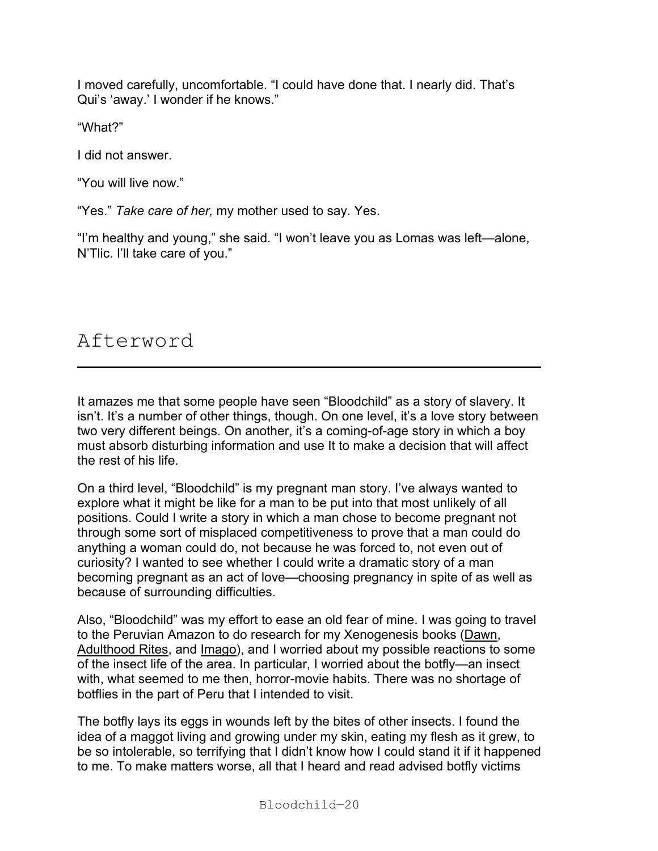I moved carefully, uncomfortable. "I could have done that. I nearly did. That's Qui's 'away.' I wonder if he knows."

"What?"

I did not answer.

"You will live now."

"Yes." *Take care of her,* my mother used to say. Yes.

"I'm healthy and young," she said. "I won't leave you as Lomas was left—alone, N'Tlic. I'll take care of you."

Afterword

It amazes me that some people have seen "Bloodchild" as a story of slavery. It isn't. It's a number of other things, though. On one level, it's a love story between two very different beings. On another, it's a coming-of-age story in which a boy must absorb disturbing information and use It to make a decision that will affect the rest of his life.

On a third level, "Bloodchild" is my pregnant man story. I've always wanted to explore what it might be like for a man to be put into that most unlikely of all positions. Could I write a story in which a man chose to become pregnant not through some sort of misplaced competitiveness to prove that a man could do anything a woman could do, not because he was forced to, not even out of curiosity? I wanted to see whether I could write a dramatic story of a man becoming pregnant as an act of love—choosing pregnancy in spite of as well as because of surrounding difficulties.

Also, "Bloodchild" was my effort to ease an old fear of mine. I was going to travel to the Peruvian Amazon to do research for my Xenogenesis books (Dawn, Adulthood Rites, and Imago), and I worried about my possible reactions to some of the insect life of the area. In particular, I worried about the botfly—an insect with, what seemed to me then, horror-movie habits. There was no shortage of botflies in the part of Peru that I intended to visit.

The botfly lays its eggs in wounds left by the bites of other insects. I found the idea of a maggot living and growing under my skin, eating my flesh as it grew, to be so intolerable, so terrifying that I didn't know how I could stand it if it happened to me. To make matters worse, all that I heard and read advised botfly victims